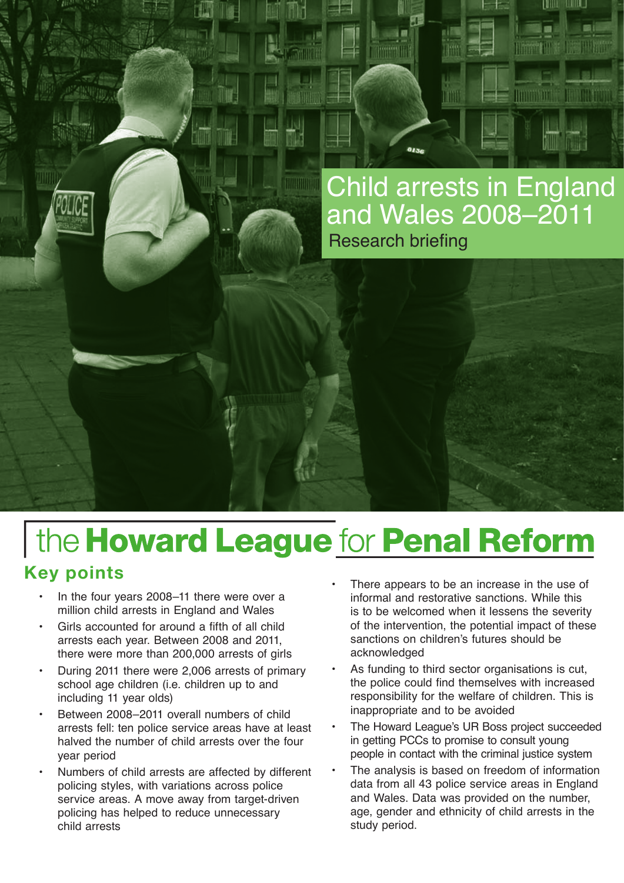

TITI

**THERE** 

um

**The Manu** 

**HANDROOM** 

IUUU U

**THE PURE** 

**LitiBulliterit** 

# the Howard League for Penal Reform **Key points**

- In the four years 2008–11 there were over a million child arrests in England and Wales
- Girls accounted for around a fifth of all child arrests each year. Between 2008 and 2011, there were more than 200,000 arrests of girls
- During 2011 there were 2,006 arrests of primary school age children (i.e. children up to and including 11 year olds)
- Between 2008–2011 overall numbers of child arrests fell: ten police service areas have at least halved the number of child arrests over the four year period
- Numbers of child arrests are affected by different policing styles, with variations across police service areas. A move away from target-driven policing has helped to reduce unnecessary child arrests
- There appears to be an increase in the use of informal and restorative sanctions. While this is to be welcomed when it lessens the severity of the intervention, the potential impact of these sanctions on children's futures should be acknowledged
- As funding to third sector organisations is cut, the police could find themselves with increased responsibility for the welfare of children. This is inappropriate and to be avoided
- The Howard League's UR Boss project succeeded in getting PCCs to promise to consult young people in contact with the criminal justice system
- The analysis is based on freedom of information data from all 43 police service areas in England and Wales. Data was provided on the number, age, gender and ethnicity of child arrests in the study period.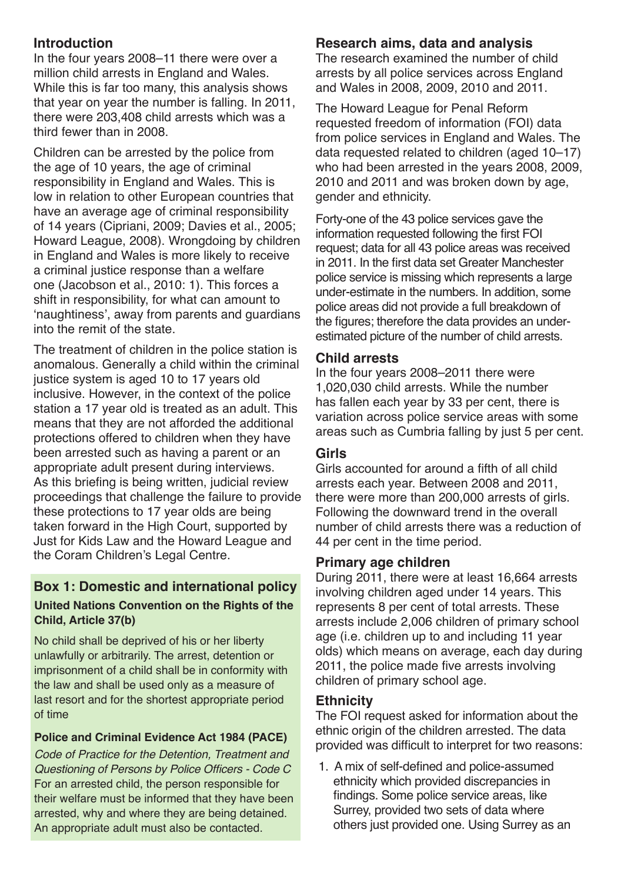# **Introduction**

In the four years 2008–11 there were over a million child arrests in England and Wales. While this is far too many, this analysis shows that year on year the number is falling. In 2011, there were 203,408 child arrests which was a third fewer than in 2008.

Children can be arrested by the police from the age of 10 years, the age of criminal responsibility in England and Wales. This is low in relation to other European countries that have an average age of criminal responsibility of 14 years (Cipriani, 2009; Davies et al., 2005; Howard League, 2008). Wrongdoing by children in England and Wales is more likely to receive a criminal justice response than a welfare one (Jacobson et al., 2010: 1). This forces a shift in responsibility, for what can amount to 'naughtiness', away from parents and guardians into the remit of the state.

The treatment of children in the police station is anomalous. Generally a child within the criminal justice system is aged 10 to 17 years old inclusive. However, in the context of the police station a 17 year old is treated as an adult. This means that they are not afforded the additional protections offered to children when they have been arrested such as having a parent or an appropriate adult present during interviews. As this briefing is being written, judicial review proceedings that challenge the failure to provide these protections to 17 year olds are being taken forward in the High Court, supported by Just for Kids Law and the Howard League and the Coram Children's Legal Centre.

#### **Box 1: Domestic and international policy United Nations Convention on the Rights of the Child, Article 37(b)**

No child shall be deprived of his or her liberty unlawfully or arbitrarily. The arrest, detention or imprisonment of a child shall be in conformity with the law and shall be used only as a measure of last resort and for the shortest appropriate period of time

# **Police and Criminal Evidence Act 1984 (PACE)**

*Code of Practice for the Detention, Treatment and*  Questioning of Persons by Police Officers - Code C For an arrested child, the person responsible for their welfare must be informed that they have been arrested, why and where they are being detained. An appropriate adult must also be contacted.

# **Research aims, data and analysis**

The research examined the number of child arrests by all police services across England and Wales in 2008, 2009, 2010 and 2011.

The Howard League for Penal Reform requested freedom of information (FOI) data from police services in England and Wales. The data requested related to children (aged 10–17) who had been arrested in the years 2008, 2009, 2010 and 2011 and was broken down by age, gender and ethnicity.

Forty-one of the 43 police services gave the information requested following the first FOI request; data for all 43 police areas was received in 2011. In the first data set Greater Manchester police service is missing which represents a large under-estimate in the numbers. In addition, some police areas did not provide a full breakdown of the figures; therefore the data provides an underestimated picture of the number of child arrests.

#### **Child arrests**

In the four years 2008–2011 there were 1,020,030 child arrests. While the number has fallen each year by 33 per cent, there is variation across police service areas with some areas such as Cumbria falling by just 5 per cent.

# **Girls**

Girls accounted for around a fifth of all child arrests each year. Between 2008 and 2011, there were more than 200,000 arrests of girls. Following the downward trend in the overall number of child arrests there was a reduction of 44 per cent in the time period.

#### **Primary age children**

During 2011, there were at least 16,664 arrests involving children aged under 14 years. This represents 8 per cent of total arrests. These arrests include 2,006 children of primary school age (i.e. children up to and including 11 year olds) which means on average, each day during 2011, the police made five arrests involving children of primary school age.

# **Ethnicity**

The FOI request asked for information about the ethnic origin of the children arrested. The data provided was difficult to interpret for two reasons:

1. A mix of self-defined and police-assumed ethnicity which provided discrepancies in findings. Some police service areas, like Surrey, provided two sets of data where others just provided one. Using Surrey as an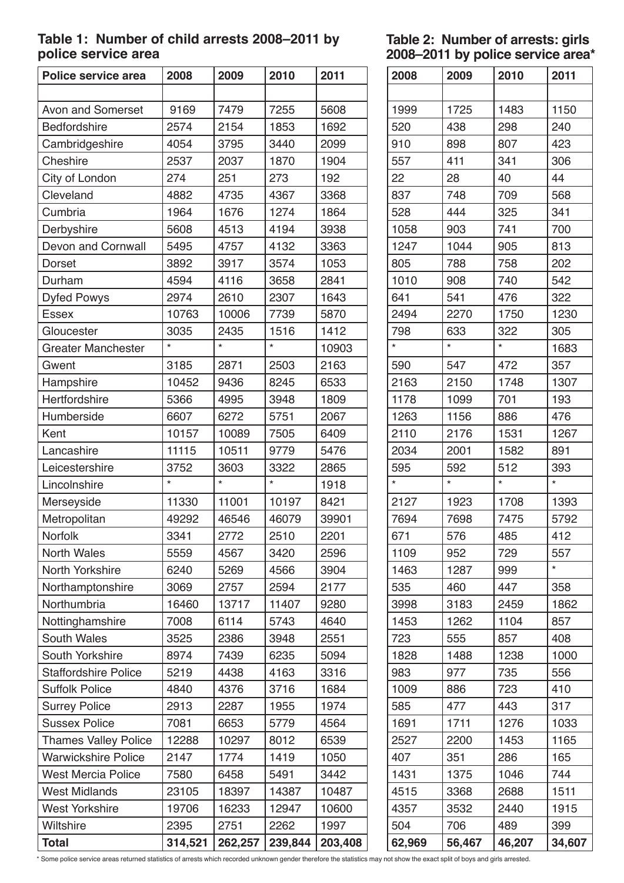# **Table 1: Number of child arrests 2008–2011 by police service area**

**Table 2: Number of arrests: girls 2008–2011 by police service area\***

| Police service area         | 2008    | 2009    | 2010    | 2011    |
|-----------------------------|---------|---------|---------|---------|
|                             |         |         |         |         |
| Avon and Somerset           | 9169    | 7479    | 7255    | 5608    |
| Bedfordshire                | 2574    | 2154    | 1853    | 1692    |
| Cambridgeshire              | 4054    | 3795    | 3440    | 2099    |
| Cheshire                    | 2537    | 2037    | 1870    | 1904    |
| City of London              | 274     | 251     | 273     | 192     |
| Cleveland                   | 4882    | 4735    | 4367    | 3368    |
| Cumbria                     | 1964    | 1676    | 1274    | 1864    |
| Derbyshire                  | 5608    | 4513    | 4194    | 3938    |
| Devon and Cornwall          | 5495    | 4757    | 4132    | 3363    |
| <b>Dorset</b>               | 3892    | 3917    | 3574    | 1053    |
| Durham                      | 4594    | 4116    | 3658    | 2841    |
| <b>Dyfed Powys</b>          | 2974    | 2610    | 2307    | 1643    |
| <b>Essex</b>                | 10763   | 10006   | 7739    | 5870    |
| Gloucester                  | 3035    | 2435    | 1516    | 1412    |
| <b>Greater Manchester</b>   |         | $\star$ | $\star$ | 10903   |
| Gwent                       | 3185    | 2871    | 2503    | 2163    |
| Hampshire                   | 10452   | 9436    | 8245    | 6533    |
| Hertfordshire               | 5366    | 4995    | 3948    | 1809    |
| Humberside                  | 6607    | 6272    | 5751    | 2067    |
| Kent                        | 10157   | 10089   | 7505    | 6409    |
| Lancashire                  | 11115   | 10511   | 9779    | 5476    |
| Leicestershire              | 3752    | 3603    | 3322    | 2865    |
| Lincolnshire                | $\star$ | $\star$ | $\star$ | 1918    |
| Merseyside                  | 11330   | 11001   | 10197   | 8421    |
| Metropolitan                | 49292   | 46546   | 46079   | 39901   |
| Norfolk                     | 3341    | 2772    | 2510    | 2201    |
| <b>North Wales</b>          | 5559    | 4567    | 3420    | 2596    |
| North Yorkshire             | 6240    | 5269    | 4566    | 3904    |
| Northamptonshire            | 3069    | 2757    | 2594    | 2177    |
| Northumbria                 | 16460   | 13717   | 11407   | 9280    |
| Nottinghamshire             | 7008    | 6114    | 5743    | 4640    |
| South Wales                 | 3525    | 2386    | 3948    | 2551    |
| South Yorkshire             | 8974    | 7439    | 6235    | 5094    |
| <b>Staffordshire Police</b> | 5219    | 4438    | 4163    | 3316    |
| <b>Suffolk Police</b>       | 4840    | 4376    | 3716    | 1684    |
| <b>Surrey Police</b>        | 2913    | 2287    | 1955    | 1974    |
| <b>Sussex Police</b>        | 7081    | 6653    | 5779    | 4564    |
| <b>Thames Valley Police</b> | 12288   | 10297   | 8012    | 6539    |
| <b>Warwickshire Police</b>  | 2147    | 1774    | 1419    | 1050    |
| <b>West Mercia Police</b>   | 7580    | 6458    | 5491    | 3442    |
| <b>West Midlands</b>        | 23105   | 18397   | 14387   | 10487   |
| <b>West Yorkshire</b>       | 19706   | 16233   | 12947   | 10600   |
| Wiltshire                   | 2395    | 2751    | 2262    | 1997    |
| <b>Total</b>                | 314,521 | 262,257 | 239,844 | 203,408 |

| 2008    | 2009       | 2010    | 2011    |
|---------|------------|---------|---------|
|         |            |         |         |
| 1999    | 1725       | 1483    | 1150    |
| 520     | 438        | 298     | 240     |
| 910     | 898        | 807     | 423     |
| 557     | 411        | 341     | 306     |
| 22      | 28         | 40      | 44      |
| 837     | 748        | 709     | 568     |
| 528     | 444        | 325     | 341     |
| 1058    | 903        | 741     | 700     |
| 1247    | 1044       | 905     | 813     |
| 805     | 788        | 758     | 202     |
| 1010    | 908        | 740     | 542     |
| 641     | 541        | 476     | 322     |
| 2494    | 2270       | 1750    | 1230    |
| 798     | 633        | 322     | 305     |
| $\star$ | $\star$    | $\star$ | 1683    |
| 590     | 547        | 472     | 357     |
| 2163    | 2150       | 1748    | 1307    |
| 1178    | 1099       | 701     | 193     |
| 1263    | 1156       | 886     | 476     |
| 2110    | 2176       | 1531    | 1267    |
| 2034    | 2001       | 1582    | 891     |
| 595     | 592        | 512     | 393     |
| $\star$ | $^{\star}$ | *       | $\star$ |
| 2127    | 1923       | 1708    | 1393    |
| 7694    | 7698       | 7475    | 5792    |
| 671     | 576        | 485     | 412     |
| 1109    | 952        | 729     | 557     |
| 1463    | 1287       | 999     | $\star$ |
| 535     | 460        | 447     | 358     |
| 3998    | 3183       | 2459    | 1862    |
| 1453    | 1262       | 1104    | 857     |
| 723     | 555        | 857     | 408     |
| 1828    | 1488       | 1238    | 1000    |
| 983     | 977        | 735     | 556     |
| 1009    | 886        | 723     | 410     |
| 585     | 477        | 443     | 317     |
| 1691    | 1711       | 1276    | 1033    |
| 2527    | 2200       | 1453    | 1165    |
| 407     | 351        | 286     | 165     |
| 1431    | 1375       | 1046    | 744     |
| 4515    | 3368       | 2688    | 1511    |
| 4357    | 3532       | 2440    | 1915    |
| 504     | 706        | 489     | 399     |
| 62,969  | 56,467     | 46,207  | 34,607  |

\* Some police service areas returned statistics of arrests which recorded unknown gender therefore the statistics may not show the exact split of boys and girls arrested.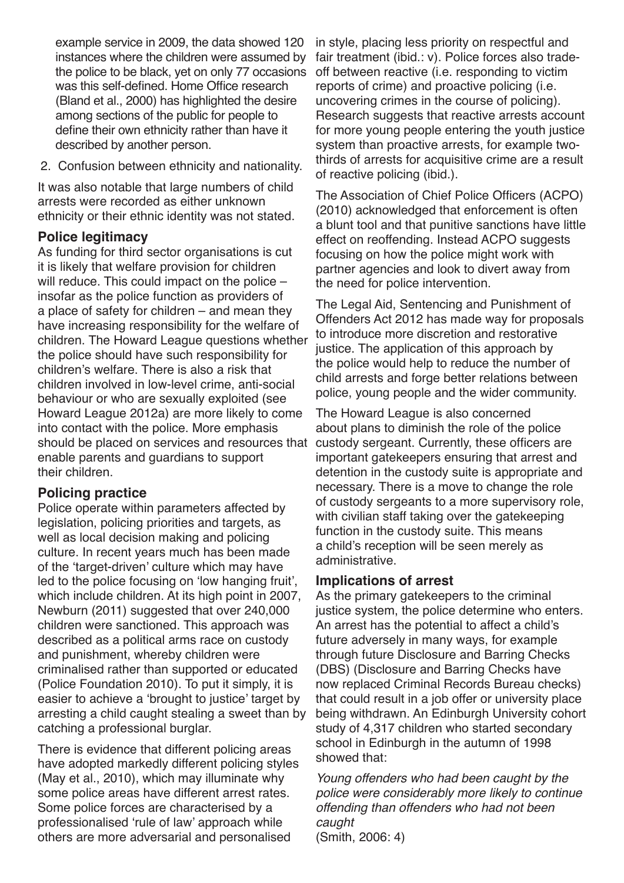example service in 2009, the data showed 120 instances where the children were assumed by the police to be black, yet on only 77 occasions was this self-defined. Home Office research (Bland et al., 2000) has highlighted the desire among sections of the public for people to define their own ethnicity rather than have it described by another person.

2. Confusion between ethnicity and nationality.

It was also notable that large numbers of child arrests were recorded as either unknown ethnicity or their ethnic identity was not stated.

# **Police legitimacy**

As funding for third sector organisations is cut it is likely that welfare provision for children will reduce. This could impact on the police – insofar as the police function as providers of a place of safety for children – and mean they have increasing responsibility for the welfare of children. The Howard League questions whether the police should have such responsibility for children's welfare. There is also a risk that children involved in low-level crime, anti-social behaviour or who are sexually exploited (see Howard League 2012a) are more likely to come into contact with the police. More emphasis should be placed on services and resources that enable parents and guardians to support their children.

# **Policing practice**

Police operate within parameters affected by legislation, policing priorities and targets, as well as local decision making and policing culture. In recent years much has been made of the 'target-driven' culture which may have led to the police focusing on 'low hanging fruit', which include children. At its high point in 2007, Newburn (2011) suggested that over 240,000 children were sanctioned. This approach was described as a political arms race on custody and punishment, whereby children were criminalised rather than supported or educated (Police Foundation 2010). To put it simply, it is easier to achieve a 'brought to justice' target by arresting a child caught stealing a sweet than by catching a professional burglar.

There is evidence that different policing areas have adopted markedly different policing styles (May et al., 2010), which may illuminate why some police areas have different arrest rates. Some police forces are characterised by a professionalised 'rule of law' approach while others are more adversarial and personalised

in style, placing less priority on respectful and fair treatment (ibid.: v). Police forces also tradeoff between reactive (i.e. responding to victim reports of crime) and proactive policing (i.e. uncovering crimes in the course of policing). Research suggests that reactive arrests account for more young people entering the youth justice system than proactive arrests, for example twothirds of arrests for acquisitive crime are a result of reactive policing (ibid.).

The Association of Chief Police Officers (ACPO) (2010) acknowledged that enforcement is often a blunt tool and that punitive sanctions have little effect on reoffending. Instead ACPO suggests focusing on how the police might work with partner agencies and look to divert away from the need for police intervention.

The Legal Aid, Sentencing and Punishment of Offenders Act 2012 has made way for proposals to introduce more discretion and restorative justice. The application of this approach by the police would help to reduce the number of child arrests and forge better relations between police, young people and the wider community.

The Howard League is also concerned about plans to diminish the role of the police custody sergeant. Currently, these officers are important gatekeepers ensuring that arrest and detention in the custody suite is appropriate and necessary. There is a move to change the role of custody sergeants to a more supervisory role, with civilian staff taking over the gatekeeping function in the custody suite. This means a child's reception will be seen merely as administrative.

# **Implications of arrest**

As the primary gatekeepers to the criminal justice system, the police determine who enters. An arrest has the potential to affect a child's future adversely in many ways, for example through future Disclosure and Barring Checks (DBS) (Disclosure and Barring Checks have now replaced Criminal Records Bureau checks) that could result in a job offer or university place being withdrawn. An Edinburgh University cohort study of 4,317 children who started secondary school in Edinburgh in the autumn of 1998 showed that:

*Young offenders who had been caught by the police were considerably more likely to continue offending than offenders who had not been caught*

(Smith, 2006: 4)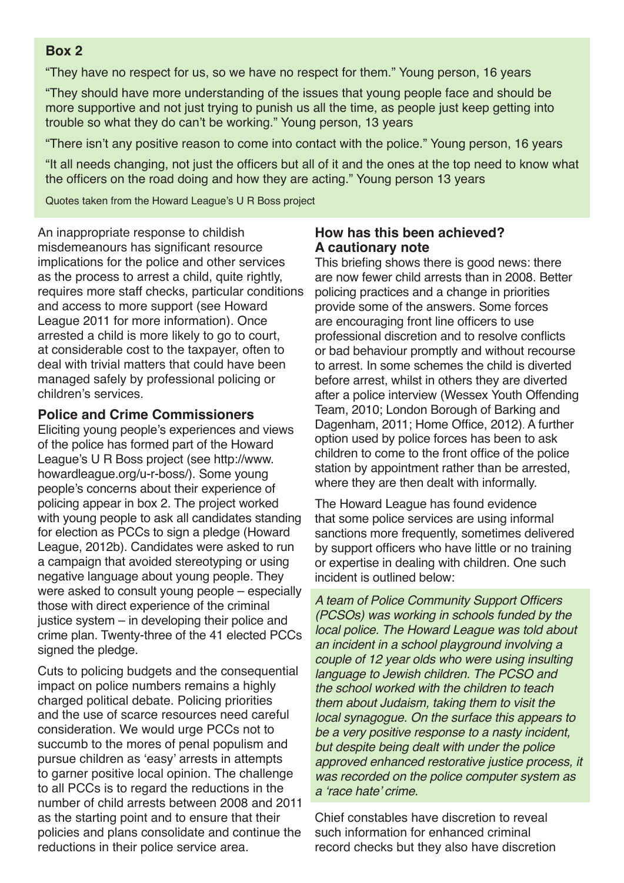# **Box 2**

"They have no respect for us, so we have no respect for them." Young person, 16 years

"They should have more understanding of the issues that young people face and should be more supportive and not just trying to punish us all the time, as people just keep getting into trouble so what they do can't be working." Young person, 13 years

"There isn't any positive reason to come into contact with the police." Young person, 16 years

"It all needs changing, not just the officers but all of it and the ones at the top need to know what the officers on the road doing and how they are acting." Young person 13 years

Quotes taken from the Howard League's U R Boss project

An inappropriate response to childish misdemeanours has significant resource implications for the police and other services as the process to arrest a child, quite rightly, requires more staff checks, particular conditions and access to more support (see Howard League 2011 for more information). Once arrested a child is more likely to go to court, at considerable cost to the taxpayer, often to deal with trivial matters that could have been managed safely by professional policing or children's services.

#### **Police and Crime Commissioners**

Eliciting young people's experiences and views of the police has formed part of the Howard League's U R Boss project (see http://www. howardleague.org/u-r-boss/). Some young people's concerns about their experience of policing appear in box 2. The project worked with young people to ask all candidates standing for election as PCCs to sign a pledge (Howard League, 2012b). Candidates were asked to run a campaign that avoided stereotyping or using negative language about young people. They were asked to consult young people – especially those with direct experience of the criminal justice system – in developing their police and crime plan. Twenty-three of the 41 elected PCCs signed the pledge.

Cuts to policing budgets and the consequential impact on police numbers remains a highly charged political debate. Policing priorities and the use of scarce resources need careful consideration. We would urge PCCs not to succumb to the mores of penal populism and pursue children as 'easy' arrests in attempts to garner positive local opinion. The challenge to all PCCs is to regard the reductions in the number of child arrests between 2008 and 2011 as the starting point and to ensure that their policies and plans consolidate and continue the reductions in their police service area.

# **How has this been achieved? A cautionary note**

This briefing shows there is good news: there are now fewer child arrests than in 2008. Better policing practices and a change in priorities provide some of the answers. Some forces are encouraging front line officers to use professional discretion and to resolve conflicts or bad behaviour promptly and without recourse to arrest. In some schemes the child is diverted before arrest, whilst in others they are diverted after a police interview (Wessex Youth Offending Team, 2010; London Borough of Barking and Dagenham, 2011; Home Office, 2012). A further option used by police forces has been to ask children to come to the front office of the police station by appointment rather than be arrested, where they are then dealt with informally.

The Howard League has found evidence that some police services are using informal sanctions more frequently, sometimes delivered by support officers who have little or no training or expertise in dealing with children. One such incident is outlined below:

A team of Police Community Support Officers *(PCSOs) was working in schools funded by the local police. The Howard League was told about an incident in a school playground involving a couple of 12 year olds who were using insulting language to Jewish children. The PCSO and the school worked with the children to teach them about Judaism, taking them to visit the local synagogue. On the surface this appears to be a very positive response to a nasty incident, but despite being dealt with under the police approved enhanced restorative justice process, it was recorded on the police computer system as*  a 'race hate' crime.

Chief constables have discretion to reveal such information for enhanced criminal record checks but they also have discretion